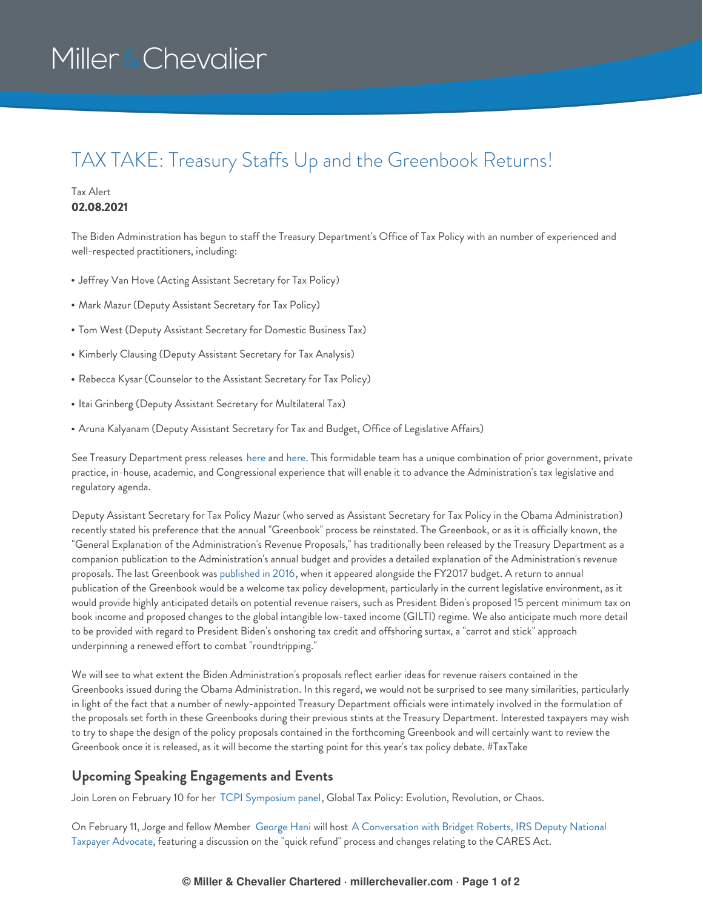# Miller & Chevalier

### TAX TAKE: Treasury Staffs Up and the Greenbook Returns!

#### Tax Alert **02.08.2021**

The Biden Administration has begun to staff the Treasury Department's Office of Tax Policy with an number of experienced and well-respected practitioners, including:

- Jeffrey Van Hove (Acting Assistant Secretary for Tax Policy)
- Mark Mazur (Deputy Assistant Secretary for Tax Policy)
- Tom West (Deputy Assistant Secretary for Domestic Business Tax)
- Kimberly Clausing (Deputy Assistant Secretary for Tax Analysis)
- Rebecca Kysar (Counselor to the Assistant Secretary for Tax Policy)
- Itai Grinberg (Deputy Assistant Secretary for Multilateral Tax)
- Aruna Kalyanam (Deputy Assistant Secretary for Tax and Budget, Office of Legislative Affairs)

See Treasury Department press releases [here](https://home.treasury.gov/news/press-releases/0003) and [here](https://home.treasury.gov/news/press-releases/jy0020). This formidable team has a unique combination of prior government, private practice, in-house, academic, and Congressional experience that will enable it to advance the Administration's tax legislative and regulatory agenda.

Deputy Assistant Secretary for Tax Policy Mazur (who served as Assistant Secretary for Tax Policy in the Obama Administration) recently stated his preference that the annual "Greenbook" process be reinstated. The Greenbook, or as it is officially known, the "General Explanation of the Administration's Revenue Proposals," has traditionally been released by the Treasury Department as a companion publication to the Administration's annual budget and provides a detailed explanation of the Administration's revenue proposals. The last Greenbook was [published](https://home.treasury.gov/system/files/131/General-Explanations-FY2017.pdf) in 2016, when it appeared alongside the FY2017 budget. A return to annual publication of the Greenbook would be a welcome tax policy development, particularly in the current legislative environment, as it would provide highly anticipated details on potential revenue raisers, such as President Biden's proposed 15 percent minimum tax on book income and proposed changes to the global intangible low-taxed income (GILTI) regime. We also anticipate much more detail to be provided with regard to President Biden's onshoring tax credit and offshoring surtax, a "carrot and stick" approach underpinning a renewed effort to combat "roundtripping."

We will see to what extent the Biden Administration's proposals reflect earlier ideas for revenue raisers contained in the Greenbooks issued during the Obama Administration. In this regard, we would not be surprised to see many similarities, particularly in light of the fact that a number of newly-appointed Treasury Department officials were intimately involved in the formulation of the proposals set forth in these Greenbooks during their previous stints at the Treasury Department. Interested taxpayers may wish to try to shape the design of the policy proposals contained in the forthcoming Greenbook and will certainly want to review the Greenbook once it is released, as it will become the starting point for this year's tax policy debate. #TaxTake

### **Upcoming Speaking Engagements and Events**

Join Loren on February 10 for her TCPI [Symposium](https://www.millerchevalier.com/event/tax-council-policy-institutes-22nd-annual-symposium) panel, Global Tax Policy: Evolution, Revolution, or Chaos.

On February 11, Jorge and fellow Member [George](https://www.millerchevalier.com/node/9062) Hani will host A [Conversation](https://www.millerchevalier.com/event/webinar-conversation-bridget-roberts-irs-deputy-national-taxpayer-advocate) with Bridget Roberts, IRS Deputy National Taxpayer Advocate, featuring a discussion on the "quick refund" process and changes relating to the CARES Act.